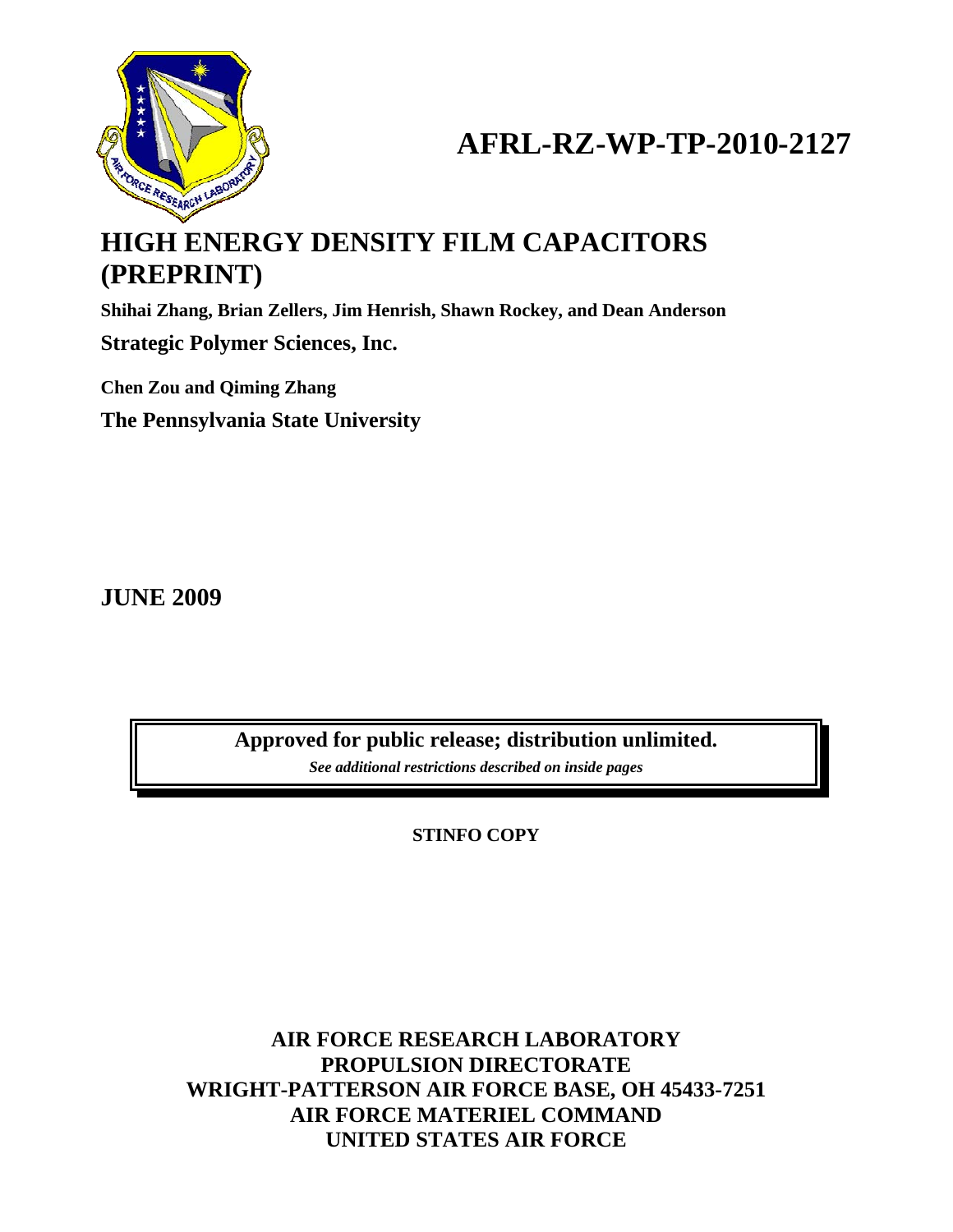

# **AFRL-RZ-WP-TP-2010-2127**

# **HIGH ENERGY DENSITY FILM CAPACITORS (PREPRINT)**

**Shihai Zhang, Brian Zellers, Jim Henrish, Shawn Rockey, and Dean Anderson** 

**Strategic Polymer Sciences, Inc.** 

**Chen Zou and Qiming Zhang The Pennsylvania State University** 

**JUNE 2009** 

**Approved for public release; distribution unlimited.**  *See additional restrictions described on inside pages*

**STINFO COPY** 

**AIR FORCE RESEARCH LABORATORY PROPULSION DIRECTORATE WRIGHT-PATTERSON AIR FORCE BASE, OH 45433-7251 AIR FORCE MATERIEL COMMAND UNITED STATES AIR FORCE**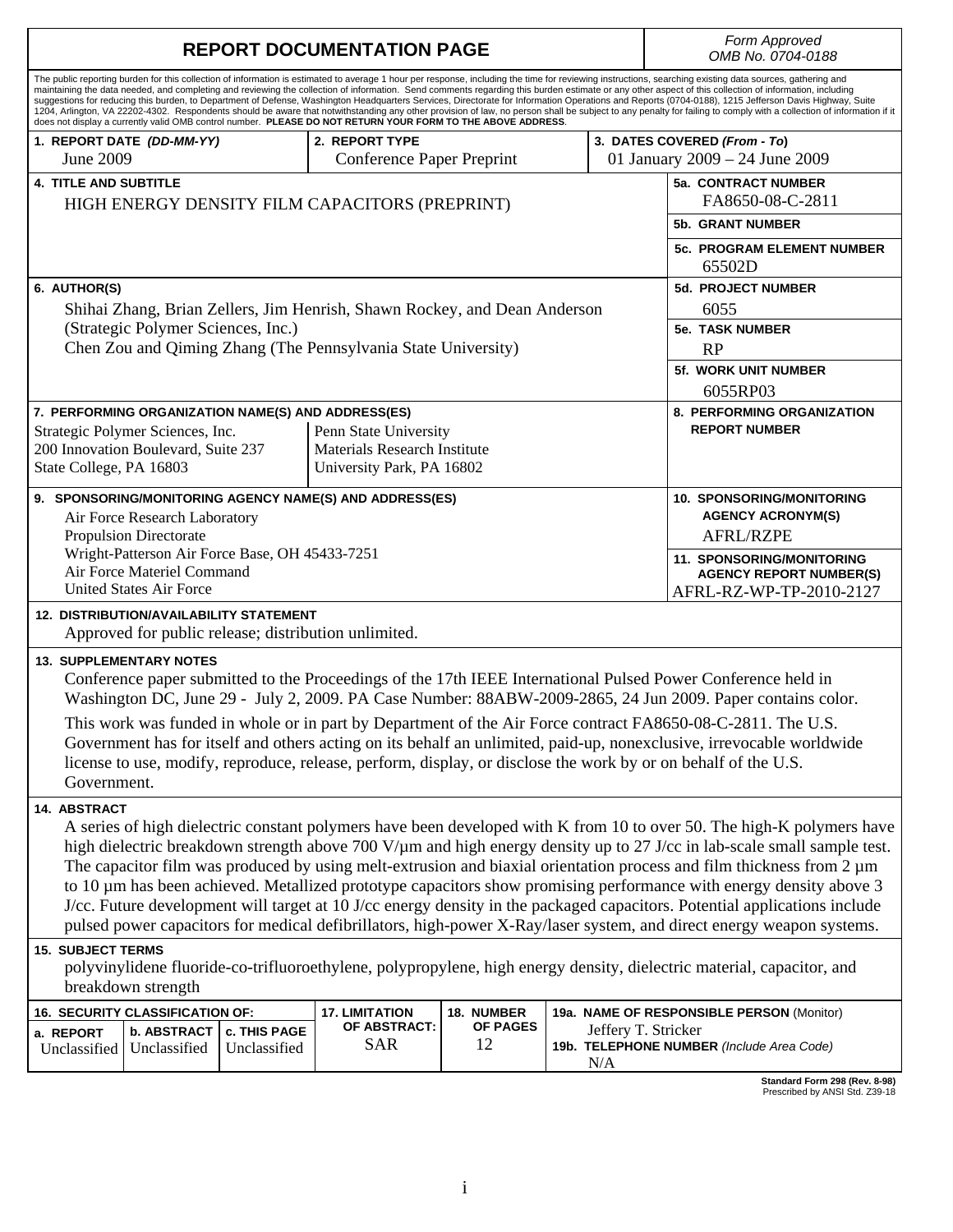| <b>REPORT DOCUMENTATION PAGE</b>                                                                                                                                                                                                                                                                                                                                                                                                                                                                                                                                                                                                                                                                                                                                                                                                                                                                                                                                   |              |              |              |          |  |                                | Form Approved<br>OMB No. 0704-0188                                                     |
|--------------------------------------------------------------------------------------------------------------------------------------------------------------------------------------------------------------------------------------------------------------------------------------------------------------------------------------------------------------------------------------------------------------------------------------------------------------------------------------------------------------------------------------------------------------------------------------------------------------------------------------------------------------------------------------------------------------------------------------------------------------------------------------------------------------------------------------------------------------------------------------------------------------------------------------------------------------------|--------------|--------------|--------------|----------|--|--------------------------------|----------------------------------------------------------------------------------------|
| The public reporting burden for this collection of information is estimated to average 1 hour per response, including the time for reviewing instructions, searching existing data sources, gathering and<br>maintaining the data needed, and completing and reviewing the collection of information. Send comments regarding this burden estimate or any other aspect of this collection of information, including<br>suggestions for reducing this burden, to Department of Defense, Washington Headquarters Services, Directorate for Information Operations and Reports (0704-0188), 1215 Jefferson Davis Highway, Suite<br>1204, Arlington, VA 22202-4302. Respondents should be aware that notwithstanding any other provision of law, no person shall be subject to any penalty for failing to comply with a collection of information if it<br>does not display a currently valid OMB control number. PLEASE DO NOT RETURN YOUR FORM TO THE ABOVE ADDRESS. |              |              |              |          |  |                                |                                                                                        |
| 1. REPORT DATE (DD-MM-YY)<br>2. REPORT TYPE                                                                                                                                                                                                                                                                                                                                                                                                                                                                                                                                                                                                                                                                                                                                                                                                                                                                                                                        |              |              |              |          |  |                                | 3. DATES COVERED (From - To)                                                           |
| June 2009<br>Conference Paper Preprint                                                                                                                                                                                                                                                                                                                                                                                                                                                                                                                                                                                                                                                                                                                                                                                                                                                                                                                             |              |              |              |          |  | 01 January 2009 – 24 June 2009 |                                                                                        |
| <b>4. TITLE AND SUBTITLE</b><br>HIGH ENERGY DENSITY FILM CAPACITORS (PREPRINT)                                                                                                                                                                                                                                                                                                                                                                                                                                                                                                                                                                                                                                                                                                                                                                                                                                                                                     |              |              |              |          |  |                                | 5a. CONTRACT NUMBER<br>FA8650-08-C-2811                                                |
|                                                                                                                                                                                                                                                                                                                                                                                                                                                                                                                                                                                                                                                                                                                                                                                                                                                                                                                                                                    |              |              |              |          |  |                                | <b>5b. GRANT NUMBER</b>                                                                |
|                                                                                                                                                                                                                                                                                                                                                                                                                                                                                                                                                                                                                                                                                                                                                                                                                                                                                                                                                                    |              |              |              |          |  |                                | <b>5c. PROGRAM ELEMENT NUMBER</b><br>65502D                                            |
| 6. AUTHOR(S)                                                                                                                                                                                                                                                                                                                                                                                                                                                                                                                                                                                                                                                                                                                                                                                                                                                                                                                                                       |              |              |              |          |  |                                | <b>5d. PROJECT NUMBER</b>                                                              |
| Shihai Zhang, Brian Zellers, Jim Henrish, Shawn Rockey, and Dean Anderson                                                                                                                                                                                                                                                                                                                                                                                                                                                                                                                                                                                                                                                                                                                                                                                                                                                                                          |              |              |              |          |  |                                | 6055                                                                                   |
| (Strategic Polymer Sciences, Inc.)                                                                                                                                                                                                                                                                                                                                                                                                                                                                                                                                                                                                                                                                                                                                                                                                                                                                                                                                 |              |              |              |          |  |                                | <b>5e. TASK NUMBER</b>                                                                 |
| Chen Zou and Qiming Zhang (The Pennsylvania State University)                                                                                                                                                                                                                                                                                                                                                                                                                                                                                                                                                                                                                                                                                                                                                                                                                                                                                                      |              |              |              |          |  |                                | RP                                                                                     |
|                                                                                                                                                                                                                                                                                                                                                                                                                                                                                                                                                                                                                                                                                                                                                                                                                                                                                                                                                                    |              |              |              |          |  |                                | 5f. WORK UNIT NUMBER<br>6055RP03                                                       |
| 7. PERFORMING ORGANIZATION NAME(S) AND ADDRESS(ES)                                                                                                                                                                                                                                                                                                                                                                                                                                                                                                                                                                                                                                                                                                                                                                                                                                                                                                                 |              |              |              |          |  |                                | 8. PERFORMING ORGANIZATION                                                             |
| Strategic Polymer Sciences, Inc.<br>Penn State University                                                                                                                                                                                                                                                                                                                                                                                                                                                                                                                                                                                                                                                                                                                                                                                                                                                                                                          |              |              |              |          |  |                                | <b>REPORT NUMBER</b>                                                                   |
| 200 Innovation Boulevard, Suite 237<br>Materials Research Institute                                                                                                                                                                                                                                                                                                                                                                                                                                                                                                                                                                                                                                                                                                                                                                                                                                                                                                |              |              |              |          |  |                                |                                                                                        |
| State College, PA 16803<br>University Park, PA 16802                                                                                                                                                                                                                                                                                                                                                                                                                                                                                                                                                                                                                                                                                                                                                                                                                                                                                                               |              |              |              |          |  |                                |                                                                                        |
| 9. SPONSORING/MONITORING AGENCY NAME(S) AND ADDRESS(ES)                                                                                                                                                                                                                                                                                                                                                                                                                                                                                                                                                                                                                                                                                                                                                                                                                                                                                                            |              |              |              |          |  |                                | <b>10. SPONSORING/MONITORING</b>                                                       |
| Air Force Research Laboratory                                                                                                                                                                                                                                                                                                                                                                                                                                                                                                                                                                                                                                                                                                                                                                                                                                                                                                                                      |              |              |              |          |  |                                | <b>AGENCY ACRONYM(S)</b>                                                               |
| <b>Propulsion Directorate</b>                                                                                                                                                                                                                                                                                                                                                                                                                                                                                                                                                                                                                                                                                                                                                                                                                                                                                                                                      |              |              |              |          |  |                                | <b>AFRL/RZPE</b>                                                                       |
| Wright-Patterson Air Force Base, OH 45433-7251<br>Air Force Materiel Command<br><b>United States Air Force</b>                                                                                                                                                                                                                                                                                                                                                                                                                                                                                                                                                                                                                                                                                                                                                                                                                                                     |              |              |              |          |  |                                | 11. SPONSORING/MONITORING<br><b>AGENCY REPORT NUMBER(S)</b><br>AFRL-RZ-WP-TP-2010-2127 |
| <b>12. DISTRIBUTION/AVAILABILITY STATEMENT</b><br>Approved for public release; distribution unlimited.                                                                                                                                                                                                                                                                                                                                                                                                                                                                                                                                                                                                                                                                                                                                                                                                                                                             |              |              |              |          |  |                                |                                                                                        |
| <b>13. SUPPLEMENTARY NOTES</b><br>Conference paper submitted to the Proceedings of the 17th IEEE International Pulsed Power Conference held in<br>Washington DC, June 29 - July 2, 2009. PA Case Number: 88ABW-2009-2865, 24 Jun 2009. Paper contains color.                                                                                                                                                                                                                                                                                                                                                                                                                                                                                                                                                                                                                                                                                                       |              |              |              |          |  |                                |                                                                                        |
| This work was funded in whole or in part by Department of the Air Force contract FA8650-08-C-2811. The U.S.                                                                                                                                                                                                                                                                                                                                                                                                                                                                                                                                                                                                                                                                                                                                                                                                                                                        |              |              |              |          |  |                                |                                                                                        |
| Government has for itself and others acting on its behalf an unlimited, paid-up, nonexclusive, irrevocable worldwide                                                                                                                                                                                                                                                                                                                                                                                                                                                                                                                                                                                                                                                                                                                                                                                                                                               |              |              |              |          |  |                                |                                                                                        |
| license to use, modify, reproduce, release, perform, display, or disclose the work by or on behalf of the U.S.                                                                                                                                                                                                                                                                                                                                                                                                                                                                                                                                                                                                                                                                                                                                                                                                                                                     |              |              |              |          |  |                                |                                                                                        |
| Government.                                                                                                                                                                                                                                                                                                                                                                                                                                                                                                                                                                                                                                                                                                                                                                                                                                                                                                                                                        |              |              |              |          |  |                                |                                                                                        |
| 14. ABSTRACT                                                                                                                                                                                                                                                                                                                                                                                                                                                                                                                                                                                                                                                                                                                                                                                                                                                                                                                                                       |              |              |              |          |  |                                |                                                                                        |
| A series of high dielectric constant polymers have been developed with K from 10 to over 50. The high-K polymers have                                                                                                                                                                                                                                                                                                                                                                                                                                                                                                                                                                                                                                                                                                                                                                                                                                              |              |              |              |          |  |                                |                                                                                        |
| high dielectric breakdown strength above 700 V/µm and high energy density up to 27 J/cc in lab-scale small sample test.                                                                                                                                                                                                                                                                                                                                                                                                                                                                                                                                                                                                                                                                                                                                                                                                                                            |              |              |              |          |  |                                |                                                                                        |
| The capacitor film was produced by using melt-extrusion and biaxial orientation process and film thickness from 2 µm<br>to 10 µm has been achieved. Metallized prototype capacitors show promising performance with energy density above 3                                                                                                                                                                                                                                                                                                                                                                                                                                                                                                                                                                                                                                                                                                                         |              |              |              |          |  |                                |                                                                                        |
| J/cc. Future development will target at 10 J/cc energy density in the packaged capacitors. Potential applications include                                                                                                                                                                                                                                                                                                                                                                                                                                                                                                                                                                                                                                                                                                                                                                                                                                          |              |              |              |          |  |                                |                                                                                        |
| pulsed power capacitors for medical defibrillators, high-power X-Ray/laser system, and direct energy weapon systems.                                                                                                                                                                                                                                                                                                                                                                                                                                                                                                                                                                                                                                                                                                                                                                                                                                               |              |              |              |          |  |                                |                                                                                        |
| <b>15. SUBJECT TERMS</b>                                                                                                                                                                                                                                                                                                                                                                                                                                                                                                                                                                                                                                                                                                                                                                                                                                                                                                                                           |              |              |              |          |  |                                |                                                                                        |
| polyvinylidene fluoride-co-trifluoroethylene, polypropylene, high energy density, dielectric material, capacitor, and<br>breakdown strength                                                                                                                                                                                                                                                                                                                                                                                                                                                                                                                                                                                                                                                                                                                                                                                                                        |              |              |              |          |  |                                |                                                                                        |
| 16. SECURITY CLASSIFICATION OF:<br><b>17. LIMITATION</b><br>18. NUMBER                                                                                                                                                                                                                                                                                                                                                                                                                                                                                                                                                                                                                                                                                                                                                                                                                                                                                             |              |              |              |          |  |                                | 19a. NAME OF RESPONSIBLE PERSON (Monitor)                                              |
| a. REPORT                                                                                                                                                                                                                                                                                                                                                                                                                                                                                                                                                                                                                                                                                                                                                                                                                                                                                                                                                          | b. ABSTRACT  | c. THIS PAGE | OF ABSTRACT: | OF PAGES |  | Jeffery T. Stricker            |                                                                                        |
| Unclassified                                                                                                                                                                                                                                                                                                                                                                                                                                                                                                                                                                                                                                                                                                                                                                                                                                                                                                                                                       | Unclassified | Unclassified | <b>SAR</b>   | 12       |  | N/A                            | 19b. TELEPHONE NUMBER (Include Area Code)                                              |

**Standard Form 298 (Rev. 8-98)**  Prescribed by ANSI Std. Z39-18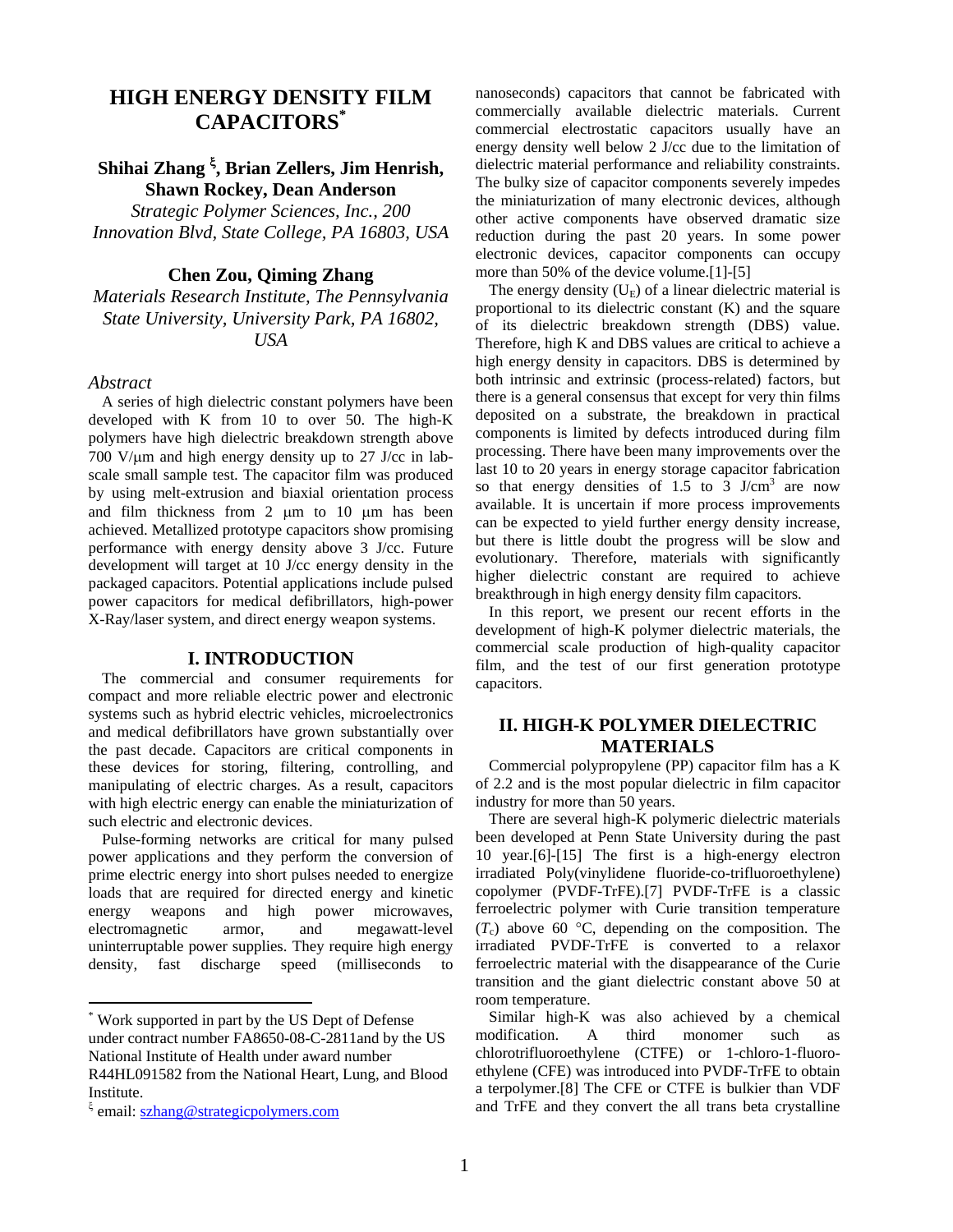# **HIGH ENERGY DENSITY FILM CAPACITORS\***

# **Shihai Zhang , Brian Zellers, Jim Henrish, Shawn Rockey, Dean Anderson**

*Strategic Polymer Sciences, Inc., 200 Innovation Blvd, State College, PA 16803, USA* 

# **Chen Zou, Qiming Zhang**

*Materials Research Institute, The Pennsylvania State University, University Park, PA 16802, USA* 

#### *Abstract*

A series of high dielectric constant polymers have been developed with K from 10 to over 50. The high-K polymers have high dielectric breakdown strength above 700 V/ $\mu$ m and high energy density up to 27 J/cc in labscale small sample test. The capacitor film was produced by using melt-extrusion and biaxial orientation process and film thickness from  $2 \mu m$  to  $10 \mu m$  has been achieved. Metallized prototype capacitors show promising performance with energy density above 3 J/cc. Future development will target at 10 J/cc energy density in the packaged capacitors. Potential applications include pulsed power capacitors for medical defibrillators, high-power X-Ray/laser system, and direct energy weapon systems.

### **I. INTRODUCTION**

The commercial and consumer requirements for compact and more reliable electric power and electronic systems such as hybrid electric vehicles, microelectronics and medical defibrillators have grown substantially over the past decade. Capacitors are critical components in these devices for storing, filtering, controlling, and manipulating of electric charges. As a result, capacitors with high electric energy can enable the miniaturization of such electric and electronic devices.

Pulse-forming networks are critical for many pulsed power applications and they perform the conversion of prime electric energy into short pulses needed to energize loads that are required for directed energy and kinetic energy weapons and high power microwaves, electromagnetic armor, and megawatt-level uninterruptable power supplies. They require high energy density, fast discharge speed (milliseconds to

 $\overline{a}$ 

nanoseconds) capacitors that cannot be fabricated with commercially available dielectric materials. Current commercial electrostatic capacitors usually have an energy density well below 2 J/cc due to the limitation of dielectric material performance and reliability constraints. The bulky size of capacitor components severely impedes the miniaturization of many electronic devices, although other active components have observed dramatic size reduction during the past 20 years. In some power electronic devices, capacitor components can occupy more than 50% of the device volume.[1]-[5]

The energy density  $(U_E)$  of a linear dielectric material is proportional to its dielectric constant (K) and the square of its dielectric breakdown strength (DBS) value. Therefore, high K and DBS values are critical to achieve a high energy density in capacitors. DBS is determined by both intrinsic and extrinsic (process-related) factors, but there is a general consensus that except for very thin films deposited on a substrate, the breakdown in practical components is limited by defects introduced during film processing. There have been many improvements over the last 10 to 20 years in energy storage capacitor fabrication so that energy densities of  $1.5$  to  $3$  J/cm<sup>3</sup> are now available. It is uncertain if more process improvements can be expected to yield further energy density increase, but there is little doubt the progress will be slow and evolutionary. Therefore, materials with significantly higher dielectric constant are required to achieve breakthrough in high energy density film capacitors.

In this report, we present our recent efforts in the development of high-K polymer dielectric materials, the commercial scale production of high-quality capacitor film, and the test of our first generation prototype capacitors.

# **II. HIGH-K POLYMER DIELECTRIC MATERIALS**

Commercial polypropylene (PP) capacitor film has a K of 2.2 and is the most popular dielectric in film capacitor industry for more than 50 years.

There are several high-K polymeric dielectric materials been developed at Penn State University during the past 10 year.[6]-[15] The first is a high-energy electron irradiated Poly(vinylidene fluoride-co-trifluoroethylene) copolymer (PVDF-TrFE).[7] PVDF-TrFE is a classic ferroelectric polymer with Curie transition temperature  $(T_c)$  above 60 °C, depending on the composition. The irradiated PVDF-TrFE is converted to a relaxor ferroelectric material with the disappearance of the Curie transition and the giant dielectric constant above 50 at room temperature.

Similar high-K was also achieved by a chemical modification. A third monomer such as chlorotrifluoroethylene (CTFE) or 1-chloro-1-fluoroethylene (CFE) was introduced into PVDF-TrFE to obtain a terpolymer.[8] The CFE or CTFE is bulkier than VDF and TrFE and they convert the all trans beta crystalline

<sup>\*</sup> Work supported in part by the US Dept of Defense under contract number FA8650-08-C-2811and by the US National Institute of Health under award number R44HL091582 from the National Heart, Lung, and Blood Institute.

<sup>&</sup>lt;sup> $\xi$ </sup> email: <u>szhang@strategicpolymers.com</u>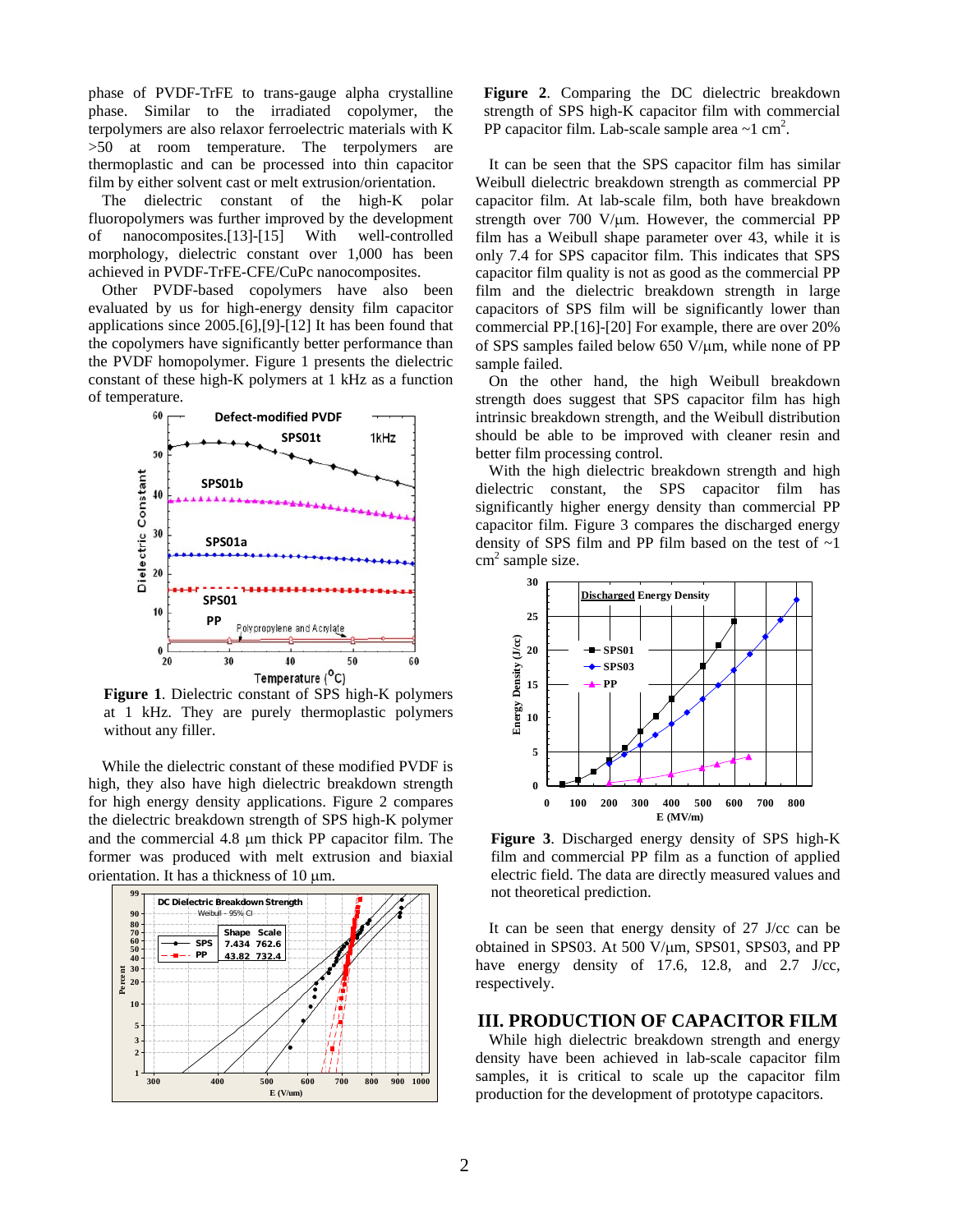phase of PVDF-TrFE to trans-gauge alpha crystalline phase. Similar to the irradiated copolymer, the terpolymers are also relaxor ferroelectric materials with K >50 at room temperature. The terpolymers are thermoplastic and can be processed into thin capacitor film by either solvent cast or melt extrusion/orientation.

The dielectric constant of the high-K polar fluoropolymers was further improved by the development of nanocomposites.[13]-[15] With well-controlled morphology, dielectric constant over 1,000 has been achieved in PVDF-TrFE-CFE/CuPc nanocomposites.

Other PVDF-based copolymers have also been evaluated by us for high-energy density film capacitor applications since 2005.[6],[9]-[12] It has been found that the copolymers have significantly better performance than the PVDF homopolymer. Figure 1 presents the dielectric constant of these high-K polymers at 1 kHz as a function of temperature.



**Figure 1**. Dielectric constant of SPS high-K polymers at 1 kHz. They are purely thermoplastic polymers without any filler.

While the dielectric constant of these modified PVDF is high, they also have high dielectric breakdown strength for high energy density applications. Figure 2 compares the dielectric breakdown strength of SPS high-K polymer and the commercial 4.8 µm thick PP capacitor film. The former was produced with melt extrusion and biaxial orientation. It has a thickness of  $10 \mu m$ .



**Figure 2**. Comparing the DC dielectric breakdown strength of SPS high-K capacitor film with commercial PP capacitor film. Lab-scale sample area  $\sim$ 1 cm<sup>2</sup>.

It can be seen that the SPS capacitor film has similar Weibull dielectric breakdown strength as commercial PP capacitor film. At lab-scale film, both have breakdown strength over  $700 \text{ V/µm}$ . However, the commercial PP film has a Weibull shape parameter over 43, while it is only 7.4 for SPS capacitor film. This indicates that SPS capacitor film quality is not as good as the commercial PP film and the dielectric breakdown strength in large capacitors of SPS film will be significantly lower than commercial PP.[16]-[20] For example, there are over 20% of SPS samples failed below 650 V/um, while none of PP sample failed.

On the other hand, the high Weibull breakdown strength does suggest that SPS capacitor film has high intrinsic breakdown strength, and the Weibull distribution should be able to be improved with cleaner resin and better film processing control.

With the high dielectric breakdown strength and high dielectric constant, the SPS capacitor film has significantly higher energy density than commercial PP capacitor film. Figure 3 compares the discharged energy density of SPS film and PP film based on the test of  $\sim$ 1  $cm<sup>2</sup>$  sample size.



**Figure 3**. Discharged energy density of SPS high-K film and commercial PP film as a function of applied electric field. The data are directly measured values and not theoretical prediction.

It can be seen that energy density of 27 J/cc can be obtained in SPS03. At 500 V/ $\mu$ m, SPS01, SPS03, and PP have energy density of 17.6, 12.8, and 2.7 J/cc, respectively.

## **III. PRODUCTION OF CAPACITOR FILM**

While high dielectric breakdown strength and energy density have been achieved in lab-scale capacitor film samples, it is critical to scale up the capacitor film production for the development of prototype capacitors.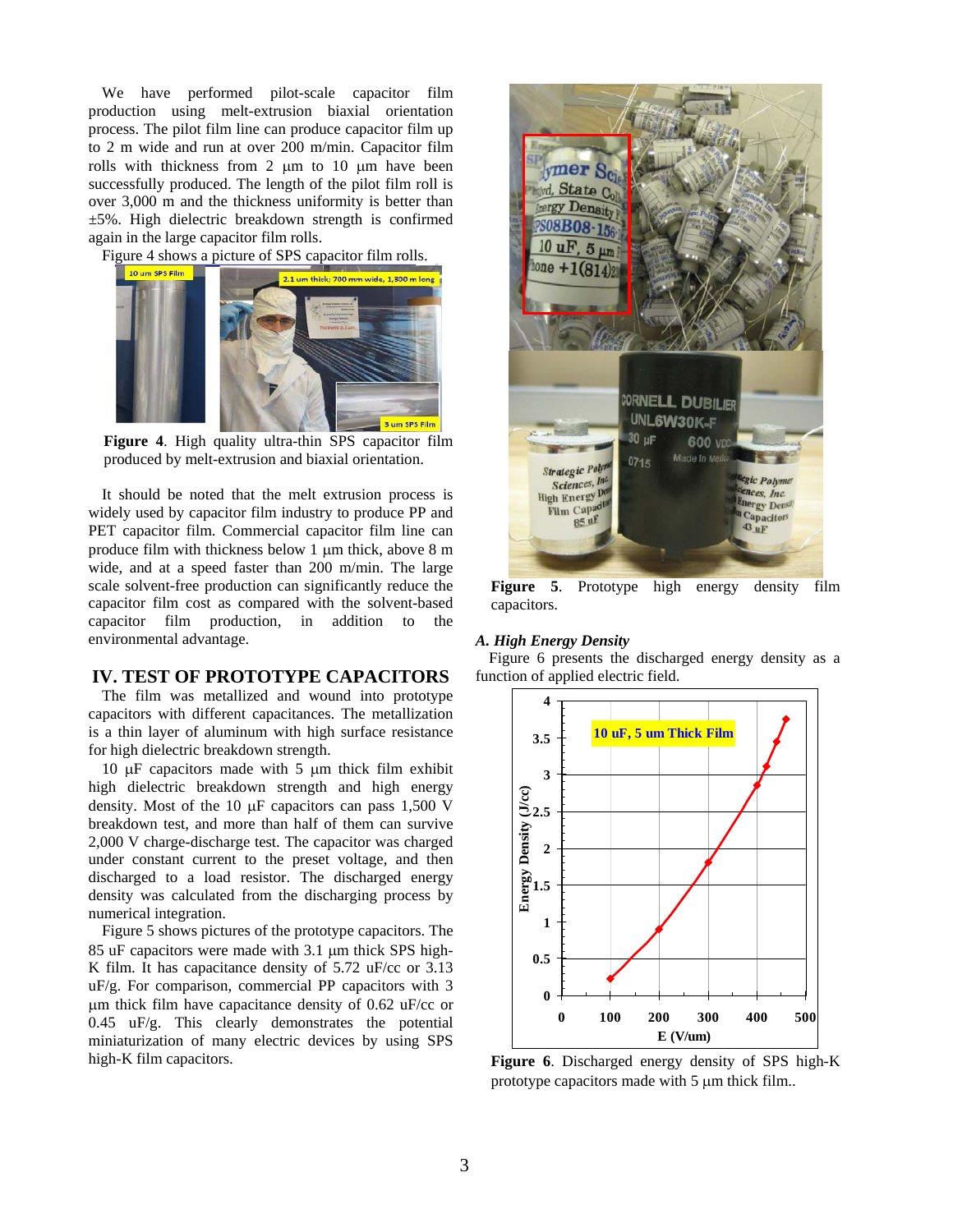We have performed pilot-scale capacitor film production using melt-extrusion biaxial orientation process. The pilot film line can produce capacitor film up to 2 m wide and run at over 200 m/min. Capacitor film rolls with thickness from  $2 \mu m$  to  $10 \mu m$  have been successfully produced. The length of the pilot film roll is over 3,000 m and the thickness uniformity is better than ±5%. High dielectric breakdown strength is confirmed again in the large capacitor film rolls.

Figure 4 shows a picture of SPS capacitor film rolls.



**Figure 4**. High quality ultra-thin SPS capacitor film produced by melt-extrusion and biaxial orientation.

It should be noted that the melt extrusion process is widely used by capacitor film industry to produce PP and PET capacitor film. Commercial capacitor film line can produce film with thickness below 1 µm thick, above 8 m wide, and at a speed faster than 200 m/min. The large scale solvent-free production can significantly reduce the capacitor film cost as compared with the solvent-based capacitor film production, in addition to the environmental advantage.

## **IV. TEST OF PROTOTYPE CAPACITORS**

The film was metallized and wound into prototype capacitors with different capacitances. The metallization is a thin layer of aluminum with high surface resistance for high dielectric breakdown strength.

10  $\mu$ F capacitors made with 5  $\mu$ m thick film exhibit high dielectric breakdown strength and high energy density. Most of the 10  $\mu$ F capacitors can pass 1,500 V breakdown test, and more than half of them can survive 2,000 V charge-discharge test. The capacitor was charged under constant current to the preset voltage, and then discharged to a load resistor. The discharged energy density was calculated from the discharging process by numerical integration.

Figure 5 shows pictures of the prototype capacitors. The 85 uF capacitors were made with 3.1 µm thick SPS high-K film. It has capacitance density of 5.72 uF/cc or 3.13 uF/g. For comparison, commercial PP capacitors with 3 m thick film have capacitance density of 0.62 uF/cc or  $0.45$  uF/g. This clearly demonstrates the potential miniaturization of many electric devices by using SPS high-K film capacitors.



**Figure 5**. Prototype high energy density film capacitors.

#### *A. High Energy Density*

Figure 6 presents the discharged energy density as a function of applied electric field.



**Figure 6**. Discharged energy density of SPS high-K prototype capacitors made with  $5 \mu m$  thick film..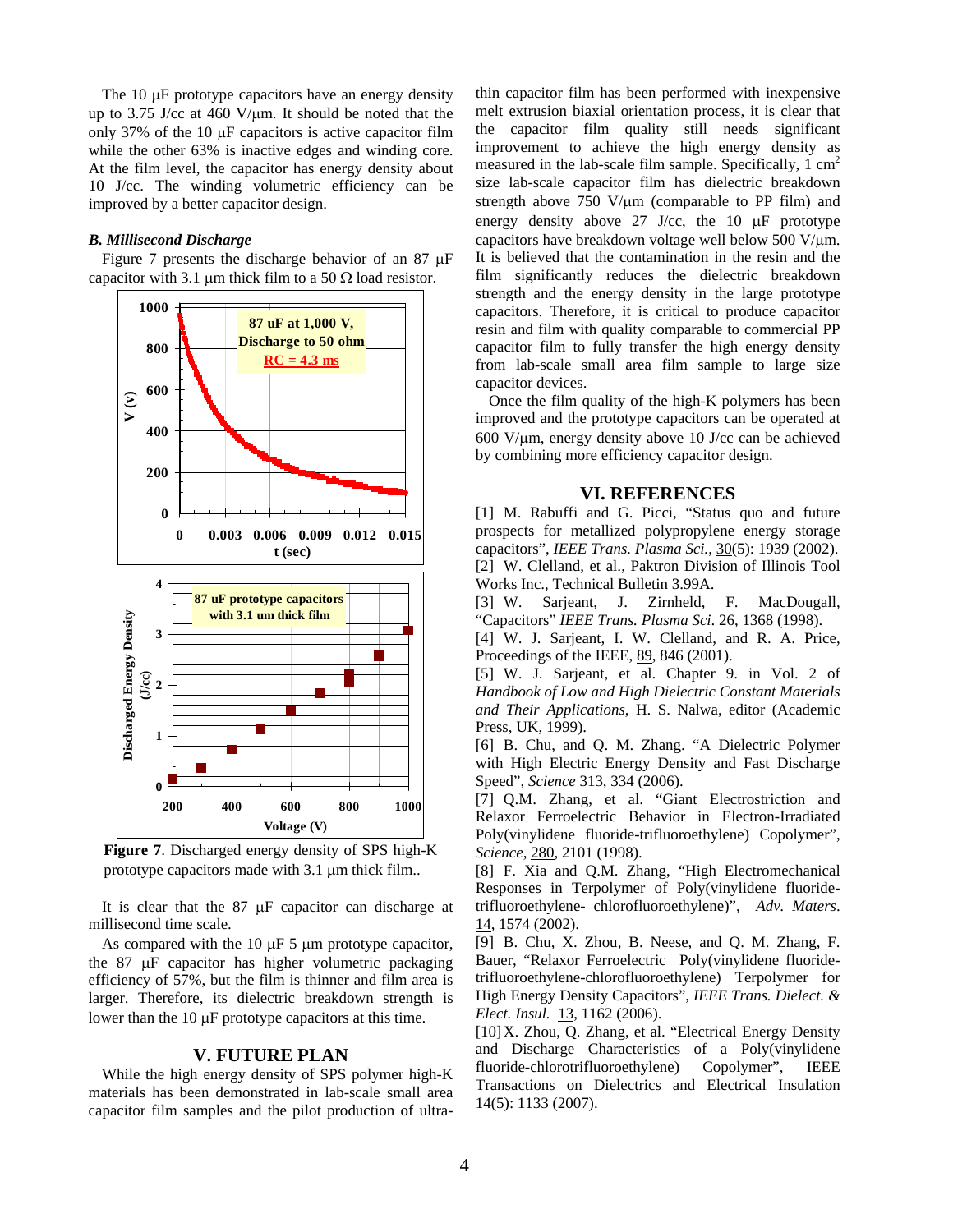The  $10 \mu$ F prototype capacitors have an energy density up to 3.75 J/cc at 460 V/ $\mu$ m. It should be noted that the only 37% of the 10  $\mu$ F capacitors is active capacitor film while the other 63% is inactive edges and winding core. At the film level, the capacitor has energy density about 10 J/cc. The winding volumetric efficiency can be improved by a better capacitor design.

### *B. Millisecond Discharge*

Figure 7 presents the discharge behavior of an  $87 \mu$ F capacitor with 3.1  $\mu$ m thick film to a 50  $\Omega$  load resistor.



**Figure 7**. Discharged energy density of SPS high-K prototype capacitors made with  $3.1 \mu m$  thick film..

It is clear that the  $87 \mu$ F capacitor can discharge at millisecond time scale.

As compared with the 10  $\mu$ F 5  $\mu$ m prototype capacitor, the  $87 \mu$ F capacitor has higher volumetric packaging efficiency of 57%, but the film is thinner and film area is larger. Therefore, its dielectric breakdown strength is lower than the  $10 \mu$ F prototype capacitors at this time.

#### **V. FUTURE PLAN**

While the high energy density of SPS polymer high-K materials has been demonstrated in lab-scale small area capacitor film samples and the pilot production of ultra-

thin capacitor film has been performed with inexpensive melt extrusion biaxial orientation process, it is clear that the capacitor film quality still needs significant improvement to achieve the high energy density as measured in the lab-scale film sample. Specifically,  $1 \text{ cm}^2$ size lab-scale capacitor film has dielectric breakdown strength above  $750 \text{ V}/\text{µm}$  (comparable to PP film) and energy density above 27 J/cc, the 10  $\mu$ F prototype capacitors have breakdown voltage well below 500 V/ $\mu$ m. It is believed that the contamination in the resin and the film significantly reduces the dielectric breakdown strength and the energy density in the large prototype capacitors. Therefore, it is critical to produce capacitor resin and film with quality comparable to commercial PP capacitor film to fully transfer the high energy density from lab-scale small area film sample to large size capacitor devices.

Once the film quality of the high-K polymers has been improved and the prototype capacitors can be operated at  $600$  V/ $\mu$ m, energy density above 10 J/cc can be achieved by combining more efficiency capacitor design.

#### **VI. REFERENCES**

[1] M. Rabuffi and G. Picci, "Status quo and future prospects for metallized polypropylene energy storage capacitors", *IEEE Trans. Plasma Sci.*, 30(5): 1939 (2002). [2] W. Clelland, et al., Paktron Division of Illinois Tool Works Inc., Technical Bulletin 3.99A.

[3] W. Sarjeant, J. Zirnheld, F. MacDougall, "Capacitors" *IEEE Trans. Plasma Sci*. 26, 1368 (1998).

[4] W. J. Sarjeant, I. W. Clelland, and R. A. Price, Proceedings of the IEEE, 89, 846 (2001).

[5] W. J. Sarjeant, et al. Chapter 9. in Vol. 2 of *Handbook of Low and High Dielectric Constant Materials and Their Applications*, H. S. Nalwa, editor (Academic Press, UK, 1999).

[6] B. Chu, and Q. M. Zhang. "A Dielectric Polymer with High Electric Energy Density and Fast Discharge Speed", *Science* 313, 334 (2006).

[7] Q.M. Zhang, et al. "Giant Electrostriction and Relaxor Ferroelectric Behavior in Electron-Irradiated Poly(vinylidene fluoride-trifluoroethylene) Copolymer", *Science*, 280, 2101 (1998).

[8] F. Xia and Q.M. Zhang, "High Electromechanical Responses in Terpolymer of Poly(vinylidene fluoridetrifluoroethylene- chlorofluoroethylene)", *Adv. Maters*. 14, 1574 (2002).

[9] B. Chu, X. Zhou, B. Neese, and Q. M. Zhang, F. Bauer, "Relaxor Ferroelectric Poly(vinylidene fluoridetrifluoroethylene-chlorofluoroethylene) Terpolymer for High Energy Density Capacitors", *IEEE Trans. Dielect. & Elect. Insul.* 13, 1162 (2006).

[10] X. Zhou, Q. Zhang, et al. "Electrical Energy Density and Discharge Characteristics of a Poly(vinylidene fluoride-chlorotrifluoroethylene) Copolymer", IEEE Transactions on Dielectrics and Electrical Insulation 14(5): 1133 (2007).